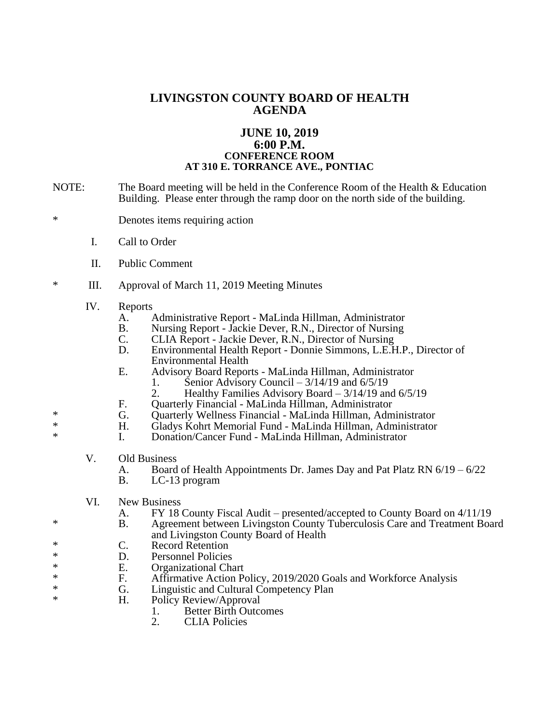## **LIVINGSTON COUNTY BOARD OF HEALTH AGENDA**

## **JUNE 10, 2019 6:00 P.M. CONFERENCE ROOM AT 310 E. TORRANCE AVE., PONTIAC**

- NOTE: The Board meeting will be held in the Conference Room of the Health & Education Building. Please enter through the ramp door on the north side of the building.
- \* Denotes items requiring action
	- I. Call to Order
	- II. Public Comment
- \* III. Approval of March 11, 2019 Meeting Minutes
	- IV. Reports
		- A. Administrative Report MaLinda Hillman, Administrator B. Nursing Report Jackie Dever, R.N., Director of Nursing
		- B. Nursing Report Jackie Dever, R.N., Director of Nursing<br>C. CLIA Report Jackie Dever, R.N., Director of Nursing
		- C. CLIA Report Jackie Dever, R.N., Director of Nursing<br>D. Environmental Health Report Donnie Simmons, L.E.H
		- D. Environmental Health Report Donnie Simmons, L.E.H.P., Director of Environmental Health
		- E. Advisory Board Reports MaLinda Hillman, Administrator<br>1. Senior Advisory Council 3/14/19 and 6/5/19
			- 1. Senior Advisory Council  $3/14/19$  and  $6/5/19$ <br>2. Healthy Families Advisory Board  $3/14/19$  and
				- Healthy Families Advisory Board  $3/14/19$  and  $6/5/19$
		- F. Quarterly Financial MaLinda Hillman, Administrator
- \* G. Quarterly Wellness Financial MaLinda Hillman, Administrator
- \* H. Gladys Kohrt Memorial Fund MaLinda Hillman, Administrator<br>
H. Denstin/Cancer Fund MaLinda Hillman, Administrator
	- I. Donation/Cancer Fund MaLinda Hillman, Administrator
	- V. Old Business
		- A. Board of Health Appointments Dr. James Day and Pat Platz RN 6/19 6/22
		- B. LC-13 program
	- VI. New Business
		- A. FY 18 County Fiscal Audit presented/accepted to County Board on 4/11/19<br>B. Agreement between Livingston County Tuberculosis Care and Treatment Boa
- \* B. Agreement between Livingston County Tuberculosis Care and Treatment Board and Livingston County Board of Health
- \* C. Record Retention<br>  $\sum_{n=1}^{\infty} P_n$  Personnel Policies
- \* D. Personnel Policies<br>
\* E. Organizational Ch
- \* E. Organizational Chart<br>
\* F. Affirmative Action Po
- \* F. Affirmative Action Policy, 2019/2020 Goals and Workforce Analysis<br> **E.** I inquistic and Cultural Competency Plan
- \* G. Linguistic and Cultural Competency Plan<br>
\* H. Policy Review/Approval
	- Policy Review/Approval
		- 1. Better Birth Outcomes<br>2. CLIA Policies
		- **CLIA Policies**